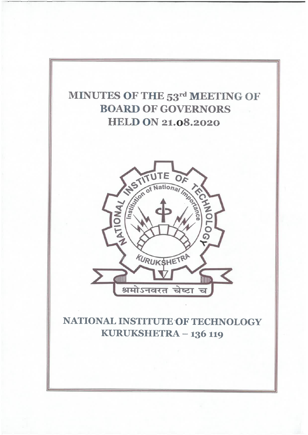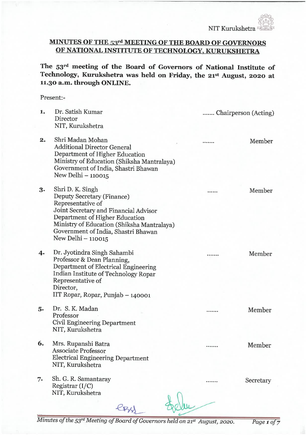# MINUTES OF THE 53rd MEETING OF THE BOARD OF GOVERNORS OF NATIONAL INSTITUTE OF TECHNOLOGY, KURUKSHETRA

The 53rd meeting of the Board of Governors of National Institute of Technology, Kurukshetra was held on Friday, the 21st August, 2020 at 11.30 a.m. through ONLINE.

#### Present:-

| 1.         | Dr. Satish Kumar<br>Director<br>NIT, Kurukshetra                                                                                                                                                                                                          | Chairperson (Acting) |
|------------|-----------------------------------------------------------------------------------------------------------------------------------------------------------------------------------------------------------------------------------------------------------|----------------------|
| 2.         | Shri Madan Mohan<br><b>Additional Director General</b><br>Department of Higher Education<br>Ministry of Education (Shiksha Mantralaya)<br>Government of India, Shastri Bhawan<br>New Delhi - 110015                                                       | Member               |
| 3.         | Shri D. K. Singh<br>Deputy Secretary (Finance)<br>Representative of<br>Joint Secretary and Financial Advisor<br>Department of Higher Education<br>Ministry of Education (Shiksha Mantralaya)<br>Government of India, Shastri Bhawan<br>New Delhi - 110015 | Member               |
| $\ddagger$ | Dr. Jyotindra Singh Sahambi<br>Professor & Dean Planning,<br>Department of Electrical Engineering<br>Indian Institute of Technology Ropar<br>Representative of<br>Director,<br>IIT Ropar, Ropar, Punjab - 140001                                          | Member               |
| 5.         | Dr. S. K. Madan<br>Professor<br><b>Civil Engineering Department</b><br>NIT, Kurukshetra                                                                                                                                                                   | Member               |
| 6.         | Mrs. Rupanshi Batra<br><b>Associate Professor</b><br><b>Electrical Engineering Department</b><br>NIT, Kurukshetra                                                                                                                                         | Member               |
| 7.         | Sh. G. R. Samantaray<br>Registrar $(I/C)$<br>NIT, Kurukshetra                                                                                                                                                                                             | Secretary            |
|            |                                                                                                                                                                                                                                                           |                      |

Minutes of the 53rd Meeting of Board of Governors held on 21st August, 2020. Page 1 of 7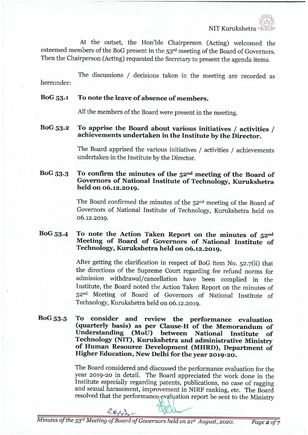At the outset, the Hon'ble Chairperson (Acting) welcomed the esteemed members of the BoG present in the 53rd meeting of the Board of Governors. Then the Chairperson (Acting) requested the Secretary to present the agenda items.

hereunder: The discussions / decisions taken in the meeting are recorded as

### BoG 53. 1 To note the leave of absence of members.

All the members of the Board were present in the meeting.

### BoG 53. 2 To apprise the Board about various initiatives / activities / achievements undertaken in the Institute by the Director.

The Board apprised the various initiatives / activities / achievements undertaken in the Institute by the Director.

# BoG 53.3 To confirm the minutes of the 52nd meeting of the Board of Governors of National Institute of Technology, Kurukshetra held on 06.12.2019.

The Board confirmed the minutes of the 52nd meeting of the Board of Governors of National Institute of Technology, Kumkshetra held on 06.12.2019.

# BoG 53.4 To note the Action Taken Report on the minutes of 52nd Meeting of Board of Governors of National Institute of Technology, Kurukshetra held on 06.12.2019.

After getting the clarification in respect of BoG item No.  $52.7$ (ii) that the directions of the Supreme Court regarding fee refund norms for admission withdrawal/cancellation have been complied in the Institute, the Board noted the Action Taken Report on the minutes of 52nd Meeting of Board of Governors of National Institute of Technology, Kurukshetra held on 06.12.2019.

### BoG53. 5 To consider and review the performance evaluation (quarterly basis) as per Clause-H-of the Memorandum of Understanding (MoU) between National Institute of Technology (NIT), Kurukshetra and administrative Ministry of Human Resource Development (MHRD), Department of Higher Education, New Delhi for the year 2019-26.

The Board considered and discussed the performance evaluation for the year 2019-20 in detail. The Board appreciated the work done in the Institute especially regarding patents, publications, no case of ragging and sexual harassment, improvement in NIRF ranking, etc. The Board resolved that the performance evaluation report be sent to the Ministry

less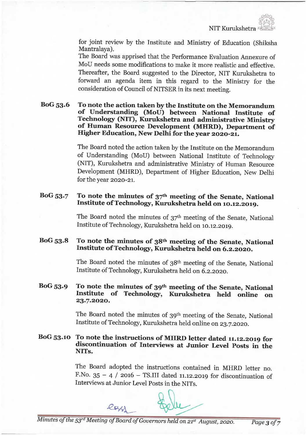NIT Kumkshetra

for joint review by the Institute and Ministry of Education (Shiksha Mantralaya).

The Board was apprised that the Performance Evaluation Annexure of MoU needs some modifications to make it more realistic and effective. Thereafter, the Board suggested to the Director, NIT Kurukshetra to forward an agenda item in this regard to the Ministry for the consideration of Council of NITSER in its next meeting.

BoG 53. 6 To note the action taken by the Institute on the Memorandum of Understanding (MoU) between National Institute of Technology (NIT), Kurukshetra and administrative Ministry of Human Resource Development (MHRD), Department of Higher Education, New Delhi for the year 2020-21.

> The Board noted the action taken by the Institute on the Memorandum of Understanding (MoU) between National Institute of Technology (NIT), Kurukshetra and administrative Ministry of Human Resource Development (MHRD), Department of Higher Education, New Delhi for the year 2020-21.

### BoG  $53.7$  To note the minutes of  $37<sup>th</sup>$  meeting of the Senate, National Institute of Technology, Kurukshetra held on 10.12. 2019.

The Board noted the minutes of 37th meeting of the Senate, National Institute of Technology, Kurukshetra held on 10. 12. 2019.

# BoG 53. 8 To note the minutes of 38th meeting of the Senate, National Institute of Technology, Kurukshetra held on 6.2.2020.

The Board noted the minutes of 38th meeting of the Senate, National Institute of Technology, Kurukshetra held on 6. 2.2020.

# BoG 53.9 To note the minutes of 39th meeting of the Senate, National Institute of Technology, Kurukshetra held online on 23. 7. 2020.

The Board noted the minutes of 39<sup>th</sup> meeting of the Senate, National Institute of Technology, Kurukshetra held online on 23.7.2020.

# BoG 53. 10 To note the instructions of MHRD letter dated 11. 12. 2019 for discontinuation of Interviews at Junior Level Posts in the NITs.

The Board adopted the instructions contained in MHRD letter no. F.No.  $35 - 4$  / 2016 - TS.III dated 11.12.2019 for discontinuation of Interviews at Junior Level Posts in the NITs.

 $e_{R}$ 

Minutes of the 53rd Meeting of Board of Governors held on 21st August, 2020. Page 3 of 7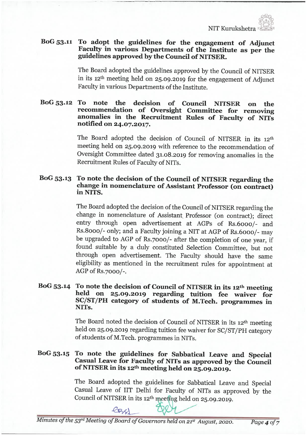# BoG 53.11 To adopt the guidelines for the engagement of Adjunct Faculty in various Departments of the Institute as per the guidelines approved by the Council of NITSER.

The Board adopted the guidelines approved by the Council of NITSER in its 12<sup>th</sup> meeting held on 25.09.2019 for the engagement of Adjunct Faculty in various Departments of the Institute.

#### BoG 53. 12 To note the decision of Council NITSER on the recommendation of Oversight Committee for removing anomalies in the Recruitment Rules of Faculty of NITs notified on 24. 07. 2017.

The Board adopted the decision of Council of NITSER in its 12th meeting held on 25. 09. 2019 with reference to the recommendation of Oversight Committee dated 31.08.2019 for removing anomalies in the Recruitment Rules of Faculty of NITs.

#### BoG 53. 13 To note the decision of the Council of NITSER regarding the change in nomenclature of Assistant Professor (on contract) in NITS.

The Board adopted the decision of the Council of NITSER regarding the change in nomenclature of Assistant. Professor (on contract); direct entry through open advertisement at AGPs of Rs. 6ooo/- and Rs. Sooo/- only; and a Faculty joining a NIT at AGP of Rs. 6ooo/- may be upgraded to AGP of Rs. yooo/- after the completion of one year, if found suitable by a duly constituted Selection Committee, but not through open advertisement. The Faculty should have the same eligibility as mentioned in the recruitment rules for appointment at AGP of Rs. 7000/-.

### BoG 53.14 To note the decision of Council of NITSER in its  $12<sup>th</sup>$  meeting held on 25.09.2019 regarding tuition fee waiver for SC/ST/PH category of students of M.Tech. programmes in NITs.

The Board noted the decision of Council of NITSER in its 12th meeting held on 25. 09.2019 regarding tuition fee waiver for SC/ST/PH category of students of M. Tech. programmes in NITs.

### BoG 53. 15 To note the guidelines for Sabbatical Leave and Special Casual Leave for Faculty of NITs as approved by the Council of NITSER in its  $12<sup>th</sup>$  meeting held on  $25.09.2019$ .

The Board adopted the guidelines for Sabbatical Leave and Special Casual Leave of IIT Delhi for Faculty of NITs as approved by the Council of NITSER in its 12<sup>th</sup> meeting held on 25.09.2019.

 $e_{R}$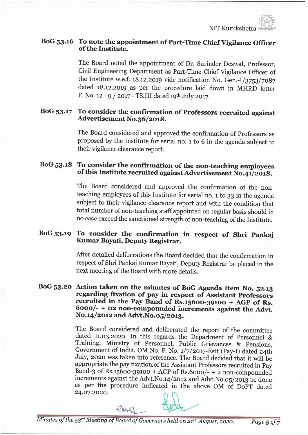

# BoG 53. 16 To note the appointment of Part-Time Chief Vigilance Officer of the Institute.

The Board noted the appointment of Dr. Surinder Deswal, Professor, Civil Engineering Department as Part-Time Chief Vigilance Officer of the Institute w.e.f. 18.12.2019 vide notification No. Gen.  $I/3753/7087$ dated 18.12.2019 as per the procedure laid down in MHRD letter F. No. 12 - 9 / 2017 - TS.III dated 19th July 2017.

# BoG 53. 17 To consider the confirmation of Professors recruited against Advertisement N0.36/2018.

The Board considered and approved the confirmation of Professors as proposed by the Institute for serial no. i to 6 in the agenda subject to their vigilance clearance report.

# BoG 53.18 To consider the confirmation of the non-teaching employees of this Institute recruited against Advertisement  $\overline{No}.41/2018$ .

The Board considered and approved the confirmation of the nonteaching employees of this Institute for serial no. 1 to 33 in the agenda subject to their vigilance clearance report and with the condition that total number of non-teaching staff appointed on regular basis should in no case exceed the sanctioned strength of non-teaching of the Institute.

### BoG 53-19 To consider the confirmation in respect of Shri Pankaj Kumar Bayati, Deputy Registrar.

After detailed deliberations the Board decided that the confirmation in respect of Shri Pankaj Kumar Bayati, Deputy Registrar be placed in the next meeting of the Board with more details.

#### BoG 53. 20 Action taken on the minutes of BoG Agenda Item No. 52. <sup>13</sup> regarding fixation of pay in respect of Assistant Professors recruited in the Pay Band of Rs. i56oo-39ioo + AGP of Rs. 6ooo/- + 02 non-compounded increments against the Advt. No.14/2012 and Advt. No.05/2013.

The Board considered and deliberated the report of the committee dated 11.03.2020. In this regards the Department of Personnel & Training, Ministry of Personnel, Public Grievances & Pensions, Government of India, OM No. F. No. i/7/2017-Estt (Pay-I) dated 24th July, 2020 was taken into reference. The Board decided that it will be appropriate the pay fixation, of the Assistant Professors recruited in Pay Band-3 of  $Rs.15600-39100 + AGP$  of  $Rs.6000/- + 2$  non-compounded increments against the Advt. No.14/2012 and Advt. No.05/2013 be done as per the procedure indicated in the above OM of DoPT dated 24.07.2020.



Minutes of the 53rd Meeting of Board of Governors held on 21st August, 2020. Page 5 of 7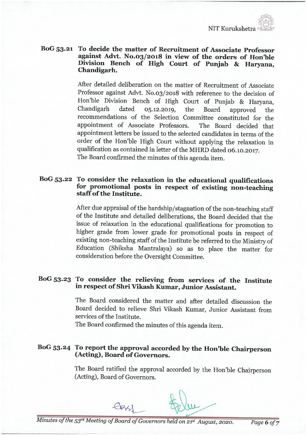

#### BoG 53.21 To decide the matter of Recruitment of Associate Professor against Advt. N0. 03/2018 in view of the orders of Hon'ble Division Bench of High Court of Punjab & Haryana, Chandigarh.

After detailed deliberation on the matter of Recruitment of Associate Professor against Advt. N0.03/2018 with reference to the decision of Hon'ble Division Bench of High Court of Punjab & Haryana,  $0, 12.2019$ , the Board approved the recommendations of the Selection Committee constituted for the appointment of Associate Professors. The Board decided that appointment letters be issued to the selected candidates in terms of the order of the Hon'ble High Court without applying the relaxation in qualification as contained in letter of the MHRD dated 06. 10. 2017. The Board confirmed the minutes of this agenda item.

# BoG 53-22 To consider the relaxation in the educational qualifications for promotional posts in respect of existing non-teaching staff of the Institute.

After due appraisal of the hardship/stagnation of the non-teaching staff of the Institute and detailed deliberations, the Board decided that the issue of relaxation in the educational qualifications for promotion to higher grade from lower grade for promotional posts in respect of existing non-teaching staff of the Institute be referred to the Ministry of Education (Shiksha Mantralaya) so as to place the matter for consideration before the Oversight Committee.

# BoG 53. 23 To consider the relieving from services of the Institute in respect of Shri Vikash Kumar, Junior Assistant.

The Board considered the matter and after detailed discussion the Board decided to relieve Shri Vikash Kumar, Junior Assistant from services of the Institute.

The Board confirmed the minutes of this agenda item.

# BoG 53. 24 To report the approval accorded by the Hon'ble Chairperson (Acting), Board of Governors.

The Board ratified the approval accorded by the Hon'ble Chairperson (Acting), Board of Governors.